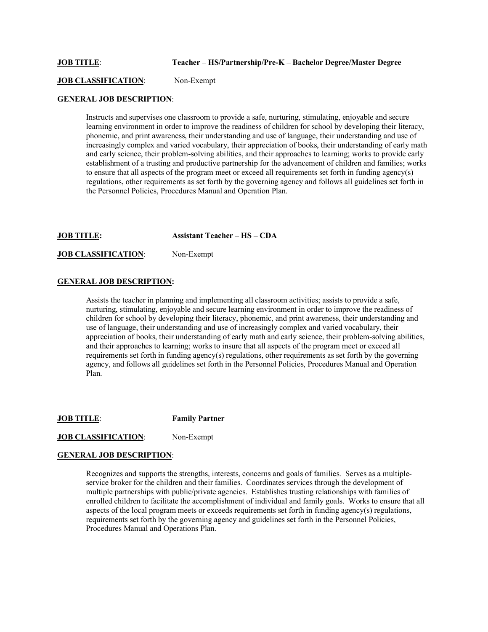#### **JOB TITLE**: **Teacher – HS/Partnership/Pre-K – Bachelor Degree/Master Degree**

**JOB CLASSIFICATION:** Non-Exempt

## **GENERAL JOB DESCRIPTION**:

Instructs and supervises one classroom to provide a safe, nurturing, stimulating, enjoyable and secure learning environment in order to improve the readiness of children for school by developing their literacy, phonemic, and print awareness, their understanding and use of language, their understanding and use of increasingly complex and varied vocabulary, their appreciation of books, their understanding of early math and early science, their problem-solving abilities, and their approaches to learning; works to provide early establishment of a trusting and productive partnership for the advancement of children and families; works to ensure that all aspects of the program meet or exceed all requirements set forth in funding agency(s) regulations, other requirements as set forth by the governing agency and follows all guidelines set forth in the Personnel Policies, Procedures Manual and Operation Plan.

**JOB TITLE: Assistant Teacher – HS – CDA**

#### **JOB CLASSIFICATION**: Non-Exempt

#### **GENERAL JOB DESCRIPTION:**

Assists the teacher in planning and implementing all classroom activities; assists to provide a safe, nurturing, stimulating, enjoyable and secure learning environment in order to improve the readiness of children for school by developing their literacy, phonemic, and print awareness, their understanding and use of language, their understanding and use of increasingly complex and varied vocabulary, their appreciation of books, their understanding of early math and early science, their problem-solving abilities, and their approaches to learning; works to insure that all aspects of the program meet or exceed all requirements set forth in funding agency(s) regulations, other requirements as set forth by the governing agency, and follows all guidelines set forth in the Personnel Policies, Procedures Manual and Operation Plan.

**JOB TITLE**: **Family Partner**

## **JOB CLASSIFICATION:** Non-Exempt

#### **GENERAL JOB DESCRIPTION**:

Recognizes and supports the strengths, interests, concerns and goals of families. Serves as a multipleservice broker for the children and their families. Coordinates services through the development of multiple partnerships with public/private agencies. Establishes trusting relationships with families of enrolled children to facilitate the accomplishment of individual and family goals. Works to ensure that all aspects of the local program meets or exceeds requirements set forth in funding agency(s) regulations, requirements set forth by the governing agency and guidelines set forth in the Personnel Policies, Procedures Manual and Operations Plan.